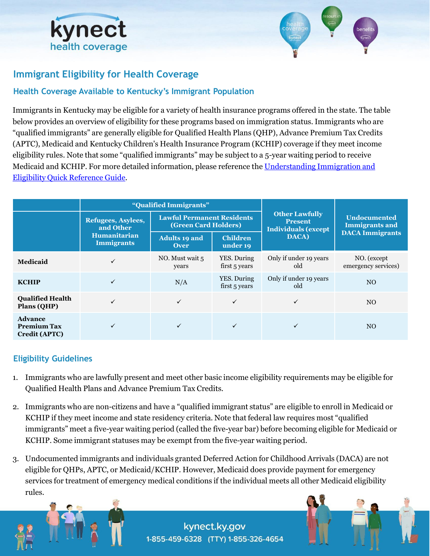



# **Immigrant Eligibility for Health Coverage**

### **Health Coverage Available to Kentucky's Immigrant Population**

Immigrants in Kentucky may be eligible for a variety of health insurance programs offered in the state. The table below provides an overview of eligibility for these programs based on immigration status. Immigrants who are "qualified immigrants" are generally eligible for Qualified Health Plans (QHP), Advance Premium Tax Credits (APTC), Medicaid and Kentucky Children's Health Insurance Program (KCHIP) coverage if they meet income eligibility rules. Note that some "qualified immigrants" may be subject to a 5-year waiting period to receive [Medicaid and KCHIP. For more detailed information, please reference the Understanding Immigration and](https://khbe.ky.gov/About/Documents/Understanding-Immigration-and-Eligibility-QRG.pdf) Eligibility Quick Reference Guide.

|                                                              | "Qualified Immigrants"                                                      |                                                                  |                              |                                                                       |                                              |
|--------------------------------------------------------------|-----------------------------------------------------------------------------|------------------------------------------------------------------|------------------------------|-----------------------------------------------------------------------|----------------------------------------------|
|                                                              | Refugees, Asylees,<br>and Other<br><b>Humanitarian</b><br><b>Immigrants</b> | <b>Lawful Permanent Residents</b><br><b>(Green Card Holders)</b> |                              | <b>Other Lawfully</b><br><b>Present</b><br><b>Individuals (except</b> | <b>Undocumented</b><br><b>Immigrants and</b> |
|                                                              |                                                                             | <b>Adults 19 and</b><br><b>Over</b>                              | <b>Children</b><br>under 19  | DACA)                                                                 | <b>DACA Immigrants</b>                       |
| <b>Medicaid</b>                                              | $\checkmark$                                                                | NO. Must wait 5<br>years                                         | YES. During<br>first 5 years | Only if under 19 years<br>old                                         | NO. (except<br>emergency services)           |
| <b>KCHIP</b>                                                 | ✓                                                                           | N/A                                                              | YES. During<br>first 5 years | Only if under 19 years<br>old                                         | NO.                                          |
| <b>Qualified Health</b><br>Plans (QHP)                       | ✓                                                                           | ✓                                                                | $\checkmark$                 |                                                                       | NO.                                          |
| <b>Advance</b><br><b>Premium Tax</b><br><b>Credit (APTC)</b> |                                                                             |                                                                  |                              |                                                                       | NO.                                          |

#### **Eligibility Guidelines**

- 1. Immigrants who are lawfully present and meet other basic income eligibility requirements may be eligible for Qualified Health Plans and Advance Premium Tax Credits.
- 2. Immigrants who are non-citizens and have a "qualified immigrant status" are eligible to enroll in Medicaid or KCHIP if they meet income and state residency criteria. Note that federal law requires most "qualified immigrants" meet a five-year waiting period (called the five-year bar) before becoming eligible for Medicaid or KCHIP. Some immigrant statuses may be exempt from the five-year waiting period.
- 3. Undocumented immigrants and individuals granted Deferred Action for Childhood Arrivals (DACA) are not eligible for QHPs, APTC, or Medicaid/KCHIP. However, Medicaid does provide payment for emergency services for treatment of emergency medical conditions if the individual meets all other Medicaid eligibility rules.